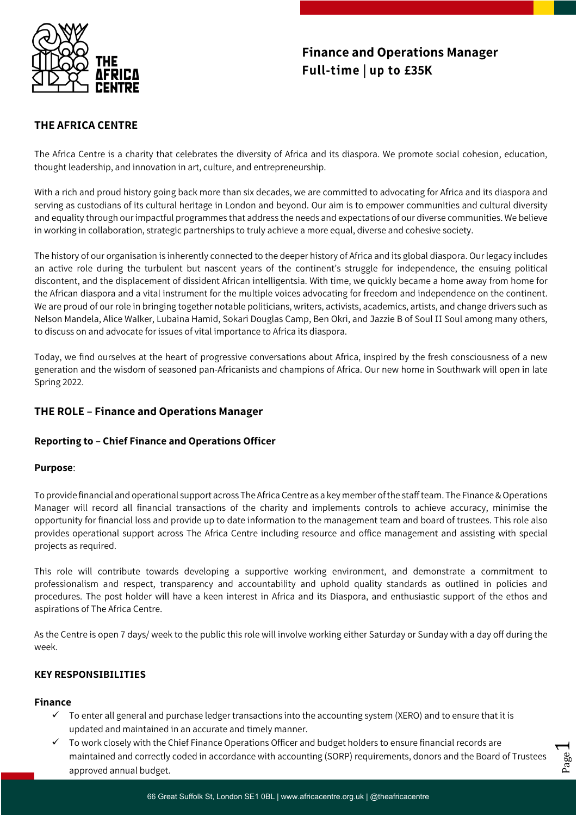

# **Finance and Operations Manager Full-time | up to £35K**

# **THE AFRICA CENTRE**

The Africa Centre is a charity that celebrates the diversity of Africa and its diaspora. We promote social cohesion, education, thought leadership, and innovation in art, culture, and entrepreneurship.

With a rich and proud history going back more than six decades, we are committed to advocating for Africa and its diaspora and serving as custodians of its cultural heritage in London and beyond. Our aim is to empower communities and cultural diversity and equality through our impactful programmes that address the needs and expectations of our diverse communities. We believe in working in collaboration, strategic partnerships to truly achieve a more equal, diverse and cohesive society.

The history of our organisation is inherently connected to the deeper history of Africa and its global diaspora. Our legacy includes an active role during the turbulent but nascent years of the continent's struggle for independence, the ensuing political discontent, and the displacement of dissident African intelligentsia. With time, we quickly became a home away from home for the African diaspora and a vital instrument for the multiple voices advocating for freedom and independence on the continent. We are proud of our role in bringing together notable politicians, writers, activists, academics, artists, and change drivers such as Nelson Mandela, Alice Walker, Lubaina Hamid, Sokari Douglas Camp, Ben Okri, and Jazzie B of Soul II Soul among many others, to discuss on and advocate for issues of vital importance to Africa its diaspora.

Today, we find ourselves at the heart of progressive conversations about Africa, inspired by the fresh consciousness of a new generation and the wisdom of seasoned pan-Africanists and champions of Africa. Our new home in Southwark will open in late Spring 2022.

## **THE ROLE – Finance and Operations Manager**

### **Reporting to – Chief Finance and Operations Officer**

#### **Purpose**:

To provide financial and operational support across The Africa Centre as a key member of the staff team. The Finance & Operations Manager will record all financial transactions of the charity and implements controls to achieve accuracy, minimise the opportunity for financial loss and provide up to date information to the management team and board of trustees. This role also provides operational support across The Africa Centre including resource and office management and assisting with special projects as required.

This role will contribute towards developing a supportive working environment, and demonstrate a commitment to professionalism and respect, transparency and accountability and uphold quality standards as outlined in policies and procedures. The post holder will have a keen interest in Africa and its Diaspora, and enthusiastic support of the ethos and aspirations of The Africa Centre.

As the Centre is open 7 days/ week to the public this role will involve working either Saturday or Sunday with a day off during the week.

#### **KEY RESPONSIBILITIES**

#### **Finance**

- $\checkmark$  To enter all general and purchase ledger transactions into the accounting system (XERO) and to ensure that it is updated and maintained in an accurate and timely manner.
- $\checkmark$  To work closely with the Chief Finance Operations Officer and budget holders to ensure financial records are maintained and correctly coded in accordance with accounting (SORP) requirements, donors and the Board of Trustees approved annual budget.

Page  $\blacktriangleleft$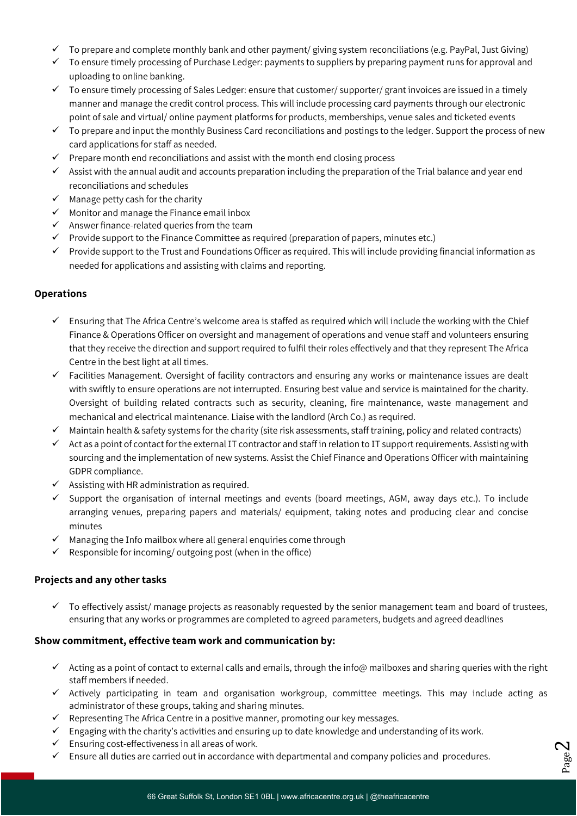- $\checkmark$  To prepare and complete monthly bank and other payment/ giving system reconciliations (e.g. PayPal, Just Giving)
- $\checkmark$  To ensure timely processing of Purchase Ledger: payments to suppliers by preparing payment runs for approval and uploading to online banking.
- $\checkmark$  To ensure timely processing of Sales Ledger: ensure that customer/ supporter/ grant invoices are issued in a timely manner and manage the credit control process. This will include processing card payments through our electronic point of sale and virtual/ online payment platforms for products, memberships, venue sales and ticketed events
- $\checkmark$  To prepare and input the monthly Business Card reconciliations and postings to the ledger. Support the process of new card applications for staff as needed.
- $\checkmark$  Prepare month end reconciliations and assist with the month end closing process
- $\checkmark$  Assist with the annual audit and accounts preparation including the preparation of the Trial balance and year end reconciliations and schedules
- $\checkmark$  Manage petty cash for the charity
- $\checkmark$  Monitor and manage the Finance email inbox
- $\checkmark$  Answer finance-related queries from the team
- $\checkmark$  Provide support to the Finance Committee as required (preparation of papers, minutes etc.)
- $\checkmark$  Provide support to the Trust and Foundations Officer as required. This will include providing financial information as needed for applications and assisting with claims and reporting.

#### **Operations**

- $\checkmark$  Ensuring that The Africa Centre's welcome area is staffed as required which will include the working with the Chief Finance & Operations Officer on oversight and management of operations and venue staff and volunteers ensuring that they receive the direction and support required to fulfil their roles effectively and that they represent The Africa Centre in the best light at all times.
- $\checkmark$  Facilities Management. Oversight of facility contractors and ensuring any works or maintenance issues are dealt with swiftly to ensure operations are not interrupted. Ensuring best value and service is maintained for the charity. Oversight of building related contracts such as security, cleaning, fire maintenance, waste management and mechanical and electrical maintenance. Liaise with the landlord (Arch Co.) as required.
- $\checkmark$  Maintain health & safety systems for the charity (site risk assessments, staff training, policy and related contracts)
- $\checkmark$  Act as a point of contact for the external IT contractor and staff in relation to IT support requirements. Assisting with sourcing and the implementation of new systems. Assist the Chief Finance and Operations Officer with maintaining GDPR compliance.
- $\checkmark$  Assisting with HR administration as required.
- $\checkmark$  Support the organisation of internal meetings and events (board meetings, AGM, away days etc.). To include arranging venues, preparing papers and materials/ equipment, taking notes and producing clear and concise minutes
- $\checkmark$  Managing the Info mailbox where all general enquiries come through
- $\checkmark$  Responsible for incoming/ outgoing post (when in the office)

#### **Projects and any other tasks**

 $\checkmark$  To effectively assist/ manage projects as reasonably requested by the senior management team and board of trustees, ensuring that any works or programmes are completed to agreed parameters, budgets and agreed deadlines

#### **Show commitment, effective team work and communication by:**

- $\checkmark$  Acting as a point of contact to external calls and emails, through the info@ mailboxes and sharing queries with the right staff members if needed.
- $\checkmark$  Actively participating in team and organisation workgroup, committee meetings. This may include acting as administrator of these groups, taking and sharing minutes.

Page  $\boldsymbol{\mathsf{N}}$ 

- $\checkmark$  Representing The Africa Centre in a positive manner, promoting our key messages.
- $\checkmark$  Engaging with the charity's activities and ensuring up to date knowledge and understanding of its work.
- $\checkmark$  Ensuring cost-effectiveness in all areas of work.
- $\checkmark$  Ensure all duties are carried out in accordance with departmental and company policies and procedures.